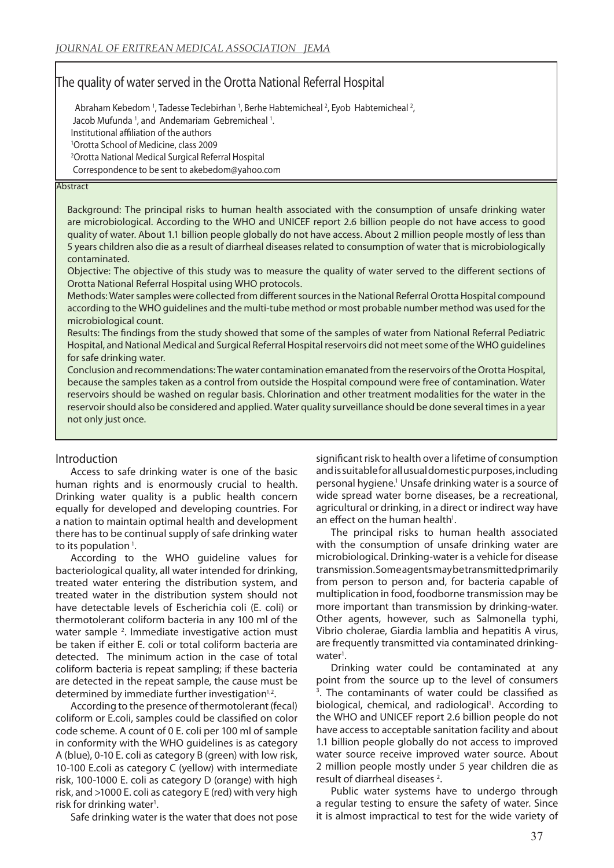# The quality of water served in the Orotta National Referral Hospital

Abraham Kebedom<sup>1</sup>, Tadesse Teclebirhan<sup>1</sup>, Berhe Habtemicheal<sup>2</sup>, Eyob Habtemicheal<sup>2</sup>, Jacob Mufunda<sup>1</sup>, and Andemariam Gebremicheal<sup>1</sup>. Institutional affiliation of the authors 1 Orotta School of Medicine, class 2009 2 Orotta National Medical Surgical Referral Hospital Correspondence to be sent to akebedom@yahoo.com

#### **Abstract**

Background: The principal risks to human health associated with the consumption of unsafe drinking water are microbiological. According to the WHO and UNICEF report 2.6 billion people do not have access to good quality of water. About 1.1 billion people globally do not have access. About 2 million people mostly of less than 5 years children also die as a result of diarrheal diseases related to consumption of water that is microbiologically contaminated.

Objective: The objective of this study was to measure the quality of water served to the different sections of Orotta National Referral Hospital using WHO protocols.

Methods: Water samples were collected from different sources in the National Referral Orotta Hospital compound according to the WHO guidelines and the multi-tube method or most probable number method was used for the microbiological count.

Results: The findings from the study showed that some of the samples of water from National Referral Pediatric Hospital, and National Medical and Surgical Referral Hospital reservoirs did not meet some of the WHO guidelines for safe drinking water.

Conclusion and recommendations: The water contamination emanated from the reservoirs of the Orotta Hospital, because the samples taken as a control from outside the Hospital compound were free of contamination. Water reservoirs should be washed on regular basis. Chlorination and other treatment modalities for the water in the reservoir should also be considered and applied. Water quality surveillance should be done several times in a year not only just once.

#### Introduction

Access to safe drinking water is one of the basic human rights and is enormously crucial to health. Drinking water quality is a public health concern equally for developed and developing countries. For a nation to maintain optimal health and development there has to be continual supply of safe drinking water to its population<sup>1</sup>.

According to the WHO guideline values for bacteriological quality, all water intended for drinking, treated water entering the distribution system, and treated water in the distribution system should not have detectable levels of Escherichia coli (E. coli) or thermotolerant coliform bacteria in any 100 ml of the water sample <sup>2</sup>. Immediate investigative action must be taken if either E. coli or total coliform bacteria are detected. The minimum action in the case of total coliform bacteria is repeat sampling; if these bacteria are detected in the repeat sample, the cause must be determined by immediate further investigation $1,2$ .

According to the presence of thermotolerant (fecal) coliform or E.coli, samples could be classified on color code scheme. A count of 0 E. coli per 100 ml of sample in conformity with the WHO guidelines is as category A (blue), 0-10 E. coli as category B (green) with low risk, 10-100 E.coli as category C (yellow) with intermediate risk, 100-1000 E. coli as category D (orange) with high risk, and >1000 E. coli as category E (red) with very high risk for drinking water<sup>1</sup>.

Safe drinking water is the water that does not pose

significant risk to health over a lifetime of consumption and is suitable for all usual domestic purposes, including personal hygiene.<sup>1</sup> Unsafe drinking water is a source of wide spread water borne diseases, be a recreational, agricultural or drinking, in a direct or indirect way have an effect on the human health<sup>1</sup>.

The principal risks to human health associated with the consumption of unsafe drinking water are microbiological. Drinking-water is a vehicle for disease transmission. Some agents may be transmitted primarily from person to person and, for bacteria capable of multiplication in food, foodborne transmission may be more important than transmission by drinking-water. Other agents, however, such as Salmonella typhi, Vibrio cholerae, Giardia lamblia and hepatitis A virus, are frequently transmitted via contaminated drinkingwater<sup>1</sup>.

Drinking water could be contaminated at any point from the source up to the level of consumers 3 . The contaminants of water could be classified as biological, chemical, and radiological<sup>1</sup>. According to the WHO and UNICEF report 2.6 billion people do not have access to acceptable sanitation facility and about 1.1 billion people globally do not access to improved water source receive improved water source. About 2 million people mostly under 5 year children die as result of diarrheal diseases<sup>2</sup>.

Public water systems have to undergo through a regular testing to ensure the safety of water. Since it is almost impractical to test for the wide variety of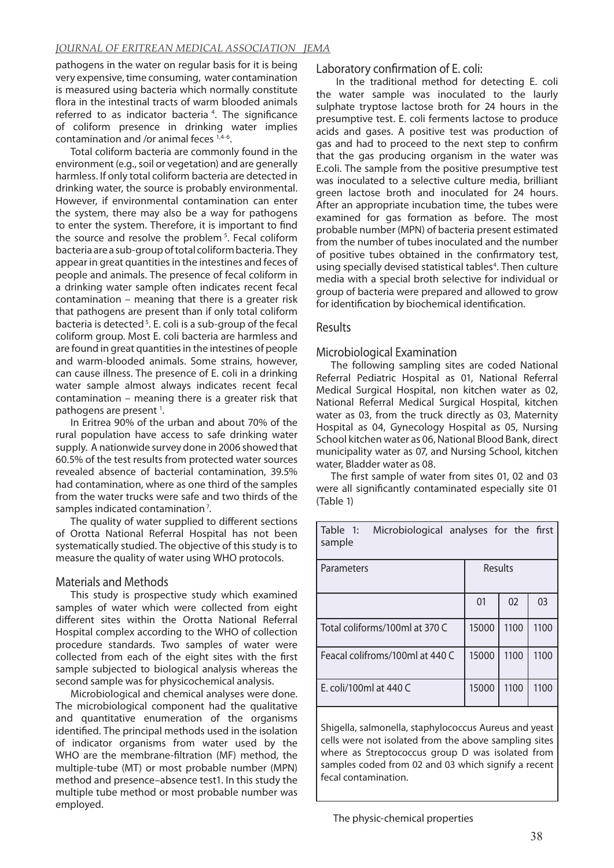## *JOURNAL OF ERITREAN MEDICAL ASSOCIATION JEMA*

pathogens in the water on regular basis for it is being very expensive, time consuming, water contamination is measured using bacteria which normally constitute flora in the intestinal tracts of warm blooded animals referred to as indicator bacteria<sup>4</sup>. The significance of coliform presence in drinking water implies contamination and /or animal feces 1,4-6.

Total coliform bacteria are commonly found in the environment (e.g., soil or vegetation) and are generally harmless. If only total coliform bacteria are detected in drinking water, the source is probably environmental. However, if environmental contamination can enter the system, there may also be a way for pathogens to enter the system. Therefore, it is important to find the source and resolve the problem<sup>5</sup>. Fecal coliform bacteria are a sub-group of total coliform bacteria. They appear in great quantities in the intestines and feces of people and animals. The presence of fecal coliform in a drinking water sample often indicates recent fecal contamination – meaning that there is a greater risk that pathogens are present than if only total coliform bacteria is detected 5. E. coli is a sub-group of the fecal coliform group. Most E. coli bacteria are harmless and are found in great quantities in the intestines of people and warm-blooded animals. Some strains, however, can cause illness. The presence of E. coli in a drinking water sample almost always indicates recent fecal contamination – meaning there is a greater risk that pathogens are present<sup>1</sup>.

In Eritrea 90% of the urban and about 70% of the rural population have access to safe drinking water supply. A nationwide survey done in 2006 showed that 60.5% of the test results from protected water sources revealed absence of bacterial contamination, 39.5% had contamination, where as one third of the samples from the water trucks were safe and two thirds of the samples indicated contamination 7.

The quality of water supplied to different sections of Orotta National Referral Hospital has not been systematically studied. The objective of this study is to measure the quality of water using WHO protocols.

## Materials and Methods

This study is prospective study which examined samples of water which were collected from eight different sites within the Orotta National Referral Hospital complex according to the WHO of collection procedure standards. Two samples of water were collected from each of the eight sites with the first sample subjected to biological analysis whereas the second sample was for physicochemical analysis.

Microbiological and chemical analyses were done. The microbiological component had the qualitative and quantitative enumeration of the organisms identified. The principal methods used in the isolation of indicator organisms from water used by the WHO are the membrane-filtration (MF) method, the multiple-tube (MT) or most probable number (MPN) method and presence–absence test1. In this study the multiple tube method or most probable number was employed.

Laboratory confirmation of E. coli:

 In the traditional method for detecting E. coli the water sample was inoculated to the laurly sulphate tryptose lactose broth for 24 hours in the presumptive test. E. coli ferments lactose to produce acids and gases. A positive test was production of gas and had to proceed to the next step to confirm that the gas producing organism in the water was E.coli. The sample from the positive presumptive test was inoculated to a selective culture media, brilliant green lactose broth and inoculated for 24 hours. After an appropriate incubation time, the tubes were examined for gas formation as before. The most probable number (MPN) of bacteria present estimated from the number of tubes inoculated and the number of positive tubes obtained in the confirmatory test, using specially devised statistical tables<sup>4</sup>. Then culture media with a special broth selective for individual or group of bacteria were prepared and allowed to grow for identification by biochemical identification.

## Results

## Microbiological Examination

The following sampling sites are coded National Referral Pediatric Hospital as 01, National Referral Medical Surgical Hospital, non kitchen water as 02, National Referral Medical Surgical Hospital, kitchen water as 03, from the truck directly as 03, Maternity Hospital as 04, Gynecology Hospital as 05, Nursing School kitchen water as 06, National Blood Bank, direct municipality water as 07, and Nursing School, kitchen water, Bladder water as 08.

The first sample of water from sites 01, 02 and 03 were all significantly contaminated especially site 01 (Table 1)

| Table 1:<br>Microbiological analyses for the first<br>sample |       |      |      |  |  |  |
|--------------------------------------------------------------|-------|------|------|--|--|--|
| Results<br>Parameters                                        |       |      |      |  |  |  |
|                                                              | 01    | 02   | 03   |  |  |  |
| Total coliforms/100ml at 370 C                               | 15000 | 1100 | 1100 |  |  |  |
| Feacal colifroms/100ml at 440 C                              | 15000 | 1100 | 1100 |  |  |  |
| E. coli/100ml at 440 C                                       | 15000 | 1100 | 1100 |  |  |  |

Shigella, salmonella, staphylococcus Aureus and yeast cells were not isolated from the above sampling sites where as Streptococcus group D was isolated from samples coded from 02 and 03 which signify a recent fecal contamination.

The physic-chemical properties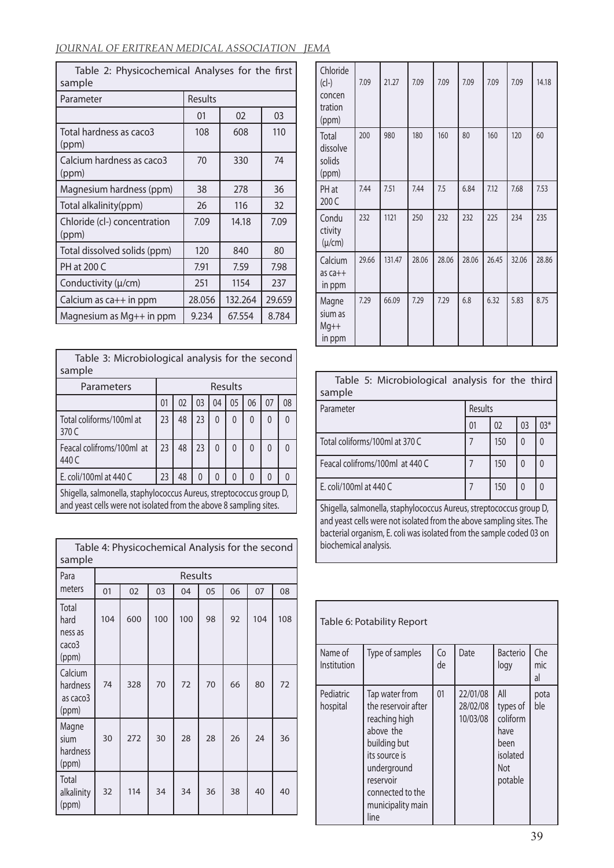## *JOURNAL OF ERITREAN MEDICAL ASSOCIATION JEMA*

| Table 2: Physicochemical Analyses for the first<br>sample |         |         |        |  |  |  |  |  |
|-----------------------------------------------------------|---------|---------|--------|--|--|--|--|--|
| Parameter                                                 | Results |         |        |  |  |  |  |  |
|                                                           | 01      | 02      | 03     |  |  |  |  |  |
| Total hardness as caco3<br>(ppm)                          | 108     | 608     | 110    |  |  |  |  |  |
| Calcium hardness as caco3<br>(ppm)                        | 70      | 330     | 74     |  |  |  |  |  |
| Magnesium hardness (ppm)                                  | 38      | 278     | 36     |  |  |  |  |  |
| Total alkalinity(ppm)                                     | 26      | 116     | 32     |  |  |  |  |  |
| Chloride (cl-) concentration<br>(ppm)                     | 7.09    | 14.18   | 7.09   |  |  |  |  |  |
| Total dissolved solids (ppm)                              | 120     | 840     | 80     |  |  |  |  |  |
| PH at 200 C                                               | 7.91    | 7.59    | 7.98   |  |  |  |  |  |
| Conductivity (µ/cm)                                       | 251     | 1154    | 237    |  |  |  |  |  |
| Calcium as ca++ in ppm                                    | 28.056  | 132.264 | 29.659 |  |  |  |  |  |
| Magnesium as Mg++ in ppm                                  | 9.234   | 67.554  | 8.784  |  |  |  |  |  |

| Table 3: Microbiological analysis for the second<br>sample                                                                                |                                        |    |          |          |   |   |          |               |  |
|-------------------------------------------------------------------------------------------------------------------------------------------|----------------------------------------|----|----------|----------|---|---|----------|---------------|--|
| Parameters                                                                                                                                | Results                                |    |          |          |   |   |          |               |  |
|                                                                                                                                           | 03<br>05<br>01<br>02<br>06<br>07<br>04 |    |          |          |   |   |          | 08            |  |
| Total coliforms/100ml at<br>370 C                                                                                                         | 23                                     | 48 | 23       | 0        | 0 | 0 | $\Omega$ | 0             |  |
| Feacal colifroms/100ml at<br>440 C                                                                                                        | 23                                     | 48 | 23       | 0        | 0 | 0 | $\Omega$ | $\mathcal{L}$ |  |
| E. coli/100ml at 440 C                                                                                                                    | 23                                     | 48 | $\Omega$ | $\Omega$ | 0 | U | 0        |               |  |
| Shigella, salmonella, staphylococcus Aureus, streptococcus group D,<br>and yeast cells were not isolated from the above 8 sampling sites. |                                        |    |          |          |   |   |          |               |  |

| Table 4: Physicochemical Analysis for the second<br>sample |     |     |     |         |    |    |     |     |
|------------------------------------------------------------|-----|-----|-----|---------|----|----|-----|-----|
| Para                                                       |     |     |     | Results |    |    |     |     |
| meters                                                     | 01  | 02  | 03  | 04      | 05 | 06 | 07  | 08  |
| Total<br>hard<br>ness as<br>caco3<br>(ppm)                 | 104 | 600 | 100 | 100     | 98 | 92 | 104 | 108 |
| Calcium<br>hardness<br>as caco3<br>(ppm)                   | 74  | 328 | 70  | 72      | 70 | 66 | 80  | 72  |
| Magne<br>sium<br>hardness<br>(ppm)                         | 30  | 272 | 30  | 28      | 28 | 26 | 24  | 36  |
| Total<br>alkalinity<br>(ppm)                               | 32  | 114 | 34  | 34      | 36 | 38 | 40  | 40  |

| Chloride<br>$(cl-)$<br>concen<br>tration<br>(ppm) | 7.09  | 21.27  | 7.09  | 7.09  | 7.09  | 7.09  | 7.09  | 14.18 |
|---------------------------------------------------|-------|--------|-------|-------|-------|-------|-------|-------|
| Total<br>dissolve<br>solids<br>(ppm)              | 200   | 980    | 180   | 160   | 80    | 160   | 120   | 60    |
| PH at<br>200 C                                    | 7.44  | 7.51   | 7.44  | 7.5   | 6.84  | 7.12  | 7.68  | 7.53  |
| Condu<br>ctivity<br>$(\mu/cm)$                    | 232   | 1121   | 250   | 232   | 232   | 225   | 234   | 235   |
| Calcium<br>$as$ $ca++$<br>in ppm                  | 29.66 | 131.47 | 28.06 | 28.06 | 28.06 | 26.45 | 32.06 | 28.86 |
| Magne<br>sium as<br>$Mg++$<br>in ppm              | 7.29  | 66.09  | 7.29  | 7.29  | 6.8   | 6.32  | 5.83  | 8.75  |

| Table 5: Microbiological analysis for the third<br>sample |         |     |              |       |  |  |  |
|-----------------------------------------------------------|---------|-----|--------------|-------|--|--|--|
| Parameter                                                 | Results |     |              |       |  |  |  |
|                                                           | 01      | 02  | 03           | $03*$ |  |  |  |
| Total coliforms/100ml at 370 C                            |         | 150 | $\mathbf{0}$ | 0     |  |  |  |
| Feacal colifroms/100ml at 440 C                           |         | 150 | $\mathbf{0}$ |       |  |  |  |
| E. coli/100ml at 440 C                                    |         | 150 | $\mathbf{0}$ |       |  |  |  |

Shigella, salmonella, staphylococcus Aureus, streptococcus group D, and yeast cells were not isolated from the above sampling sites. The bacterial organism, E. coli was isolated from the sample coded 03 on biochemical analysis.

| Table 6: Potability Report |                                                                                                                                                                                   |          |                                  |                                                                           |                  |  |  |  |  |
|----------------------------|-----------------------------------------------------------------------------------------------------------------------------------------------------------------------------------|----------|----------------------------------|---------------------------------------------------------------------------|------------------|--|--|--|--|
| Name of<br>Institution     | Type of samples                                                                                                                                                                   | Co<br>de | Date                             | <b>Bacterio</b><br>logy                                                   | Che<br>mic<br>al |  |  |  |  |
| Pediatric<br>hospital      | Tap water from<br>the reservoir after<br>reaching high<br>above the<br>building but<br>its source is<br>underground<br>reservoir<br>connected to the<br>municipality main<br>line | 01       | 22/01/08<br>28/02/08<br>10/03/08 | All<br>types of<br>coliform<br>have<br>been<br>isolated<br>Not<br>potable | pota<br>ble      |  |  |  |  |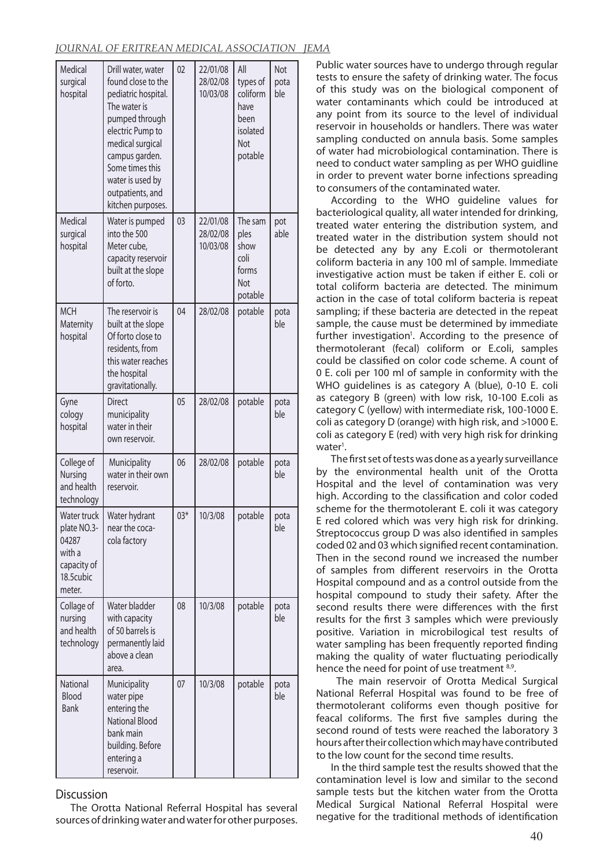| Medical<br>surgical<br>hospital                                                     | Drill water, water<br>found close to the<br>pediatric hospital.<br>The water is<br>pumped through<br>electric Pump to<br>medical surgical<br>campus garden.<br>Some times this<br>water is used by<br>outpatients, and<br>kitchen purposes. | 02             | 22/01/08<br>28/02/08<br>10/03/08 | All<br>types of<br>coliform<br>have<br>been<br>isolated<br>Not<br>potable | <b>Not</b><br>pota<br>ble |
|-------------------------------------------------------------------------------------|---------------------------------------------------------------------------------------------------------------------------------------------------------------------------------------------------------------------------------------------|----------------|----------------------------------|---------------------------------------------------------------------------|---------------------------|
| Medical<br>surgical<br>hospital                                                     | Water is pumped<br>into the 500<br>Meter cube,<br>capacity reservoir<br>built at the slope<br>of forto.                                                                                                                                     | 03             | 22/01/08<br>28/02/08<br>10/03/08 | The sam<br>ples<br>show<br>coli<br>forms<br>Not<br>potable                | pot<br>able               |
| <b>MCH</b><br>Maternity<br>hospital                                                 | The reservoir is<br>built at the slope<br>Of forto close to<br>residents, from<br>this water reaches<br>the hospital<br>gravitationally.                                                                                                    | 04             | 28/02/08                         | potable                                                                   | pota<br>ble               |
| Gyne<br>cology<br>hospital                                                          | <b>Direct</b><br>municipality<br>water in their<br>own reservoir.                                                                                                                                                                           | 0 <sub>5</sub> | 28/02/08                         | potable                                                                   | pota<br>ble               |
| College of<br>Nursing<br>and health<br>technology                                   | Municipality<br>water in their own<br>reservoir.                                                                                                                                                                                            | 06             | 28/02/08                         | potable                                                                   | pota<br>ble               |
| Water truck<br>plate NO.3-<br>04287<br>with a<br>capacity of<br>18.5cubic<br>meter. | Water hydrant<br>near the coca-<br>cola factory                                                                                                                                                                                             | $03*$          | 10/3/08                          | potable                                                                   | pota<br>ble               |
| Collage of<br>nursing<br>and health<br>technology                                   | Water bladder<br>with capacity<br>of 50 barrels is<br>permanently laid<br>above a clean<br>area.                                                                                                                                            | 08             | 10/3/08                          | potable                                                                   | pota<br>ble               |
| National<br>Blood<br><b>Bank</b>                                                    | Municipality<br>water pipe<br>entering the<br><b>National Blood</b><br>bank main<br>building. Before<br>entering a<br>reservoir.                                                                                                            | 07             | 10/3/08                          | potable                                                                   | pota<br>ble               |

#### **Discussion**

The Orotta National Referral Hospital has several sources of drinking water and water for other purposes.

Public water sources have to undergo through regular tests to ensure the safety of drinking water. The focus of this study was on the biological component of water contaminants which could be introduced at any point from its source to the level of individual reservoir in households or handlers. There was water sampling conducted on annula basis. Some samples of water had microbiological contamination. There is need to conduct water sampling as per WHO guidline in order to prevent water borne infections spreading to consumers of the contaminated water.

According to the WHO guideline values for bacteriological quality, all water intended for drinking, treated water entering the distribution system, and treated water in the distribution system should not be detected any by any E.coli or thermotolerant coliform bacteria in any 100 ml of sample. Immediate investigative action must be taken if either E. coli or total coliform bacteria are detected. The minimum action in the case of total coliform bacteria is repeat sampling; if these bacteria are detected in the repeat sample, the cause must be determined by immediate further investigation<sup>1</sup>. According to the presence of thermotolerant (fecal) coliform or E.coli, samples could be classified on color code scheme. A count of 0 E. coli per 100 ml of sample in conformity with the WHO guidelines is as category A (blue), 0-10 E. coli as category B (green) with low risk, 10-100 E.coli as category C (yellow) with intermediate risk, 100-1000 E. coli as category D (orange) with high risk, and >1000 E. coli as category E (red) with very high risk for drinking water<sup>1</sup>.

The first set of tests was done as a yearly surveillance by the environmental health unit of the Orotta Hospital and the level of contamination was very high. According to the classification and color coded scheme for the thermotolerant E. coli it was category E red colored which was very high risk for drinking. Streptococcus group D was also identified in samples coded 02 and 03 which signified recent contamination. Then in the second round we increased the number of samples from different reservoirs in the Orotta Hospital compound and as a control outside from the hospital compound to study their safety. After the second results there were differences with the first results for the first 3 samples which were previously positive. Variation in microbilogical test results of water sampling has been frequently reported finding making the quality of water fluctuating periodically hence the need for point of use treatment 8,9.

 The main reservoir of Orotta Medical Surgical National Referral Hospital was found to be free of thermotolerant coliforms even though positive for feacal coliforms. The first five samples during the second round of tests were reached the laboratory 3 hours after their collection which may have contributed to the low count for the second time results.

In the third sample test the results showed that the contamination level is low and similar to the second sample tests but the kitchen water from the Orotta Medical Surgical National Referral Hospital were negative for the traditional methods of identification